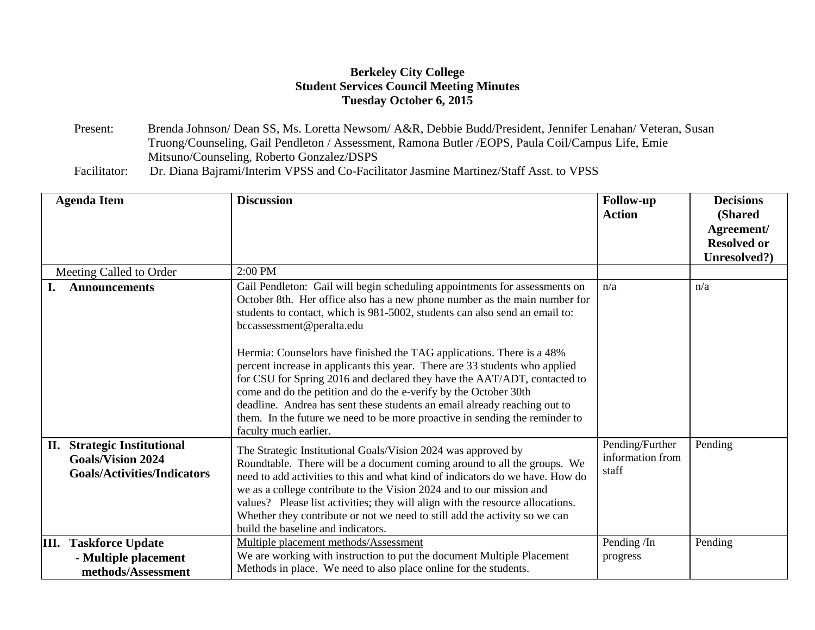## **Berkeley City College Student Services Council Meeting Minutes Tuesday October 6, 2015**

Present: Brenda Johnson/ Dean SS, Ms. Loretta Newsom/ A&R, Debbie Budd/President, Jennifer Lenahan/ Veteran, Susan Truong/Counseling, Gail Pendleton / Assessment, Ramona Butler /EOPS, Paula Coil/Campus Life, Emie Mitsuno/Counseling, Roberto Gonzalez/DSPS

Facilitator: Dr. Diana Bajrami/Interim VPSS and Co-Facilitator Jasmine Martinez/Staff Asst. to VPSS

| <b>Agenda Item</b>                                               |                                            | <b>Discussion</b>                                                                                                                                                                                                                                                                                                                                                                                                                                                                                                                                                                                                                                                                                                                                                 | <b>Follow-up</b><br><b>Action</b>            | <b>Decisions</b><br>(Shared<br>Agreement/<br><b>Resolved or</b><br>Unresolved?) |
|------------------------------------------------------------------|--------------------------------------------|-------------------------------------------------------------------------------------------------------------------------------------------------------------------------------------------------------------------------------------------------------------------------------------------------------------------------------------------------------------------------------------------------------------------------------------------------------------------------------------------------------------------------------------------------------------------------------------------------------------------------------------------------------------------------------------------------------------------------------------------------------------------|----------------------------------------------|---------------------------------------------------------------------------------|
| Meeting Called to Order                                          |                                            | 2:00 PM                                                                                                                                                                                                                                                                                                                                                                                                                                                                                                                                                                                                                                                                                                                                                           |                                              |                                                                                 |
| <b>Announcements</b>                                             |                                            | Gail Pendleton: Gail will begin scheduling appointments for assessments on<br>October 8th. Her office also has a new phone number as the main number for<br>students to contact, which is 981-5002, students can also send an email to:<br>bccassessment@peralta.edu<br>Hermia: Counselors have finished the TAG applications. There is a 48%<br>percent increase in applicants this year. There are 33 students who applied<br>for CSU for Spring 2016 and declared they have the AAT/ADT, contacted to<br>come and do the petition and do the e-verify by the October 30th<br>deadline. Andrea has sent these students an email already reaching out to<br>them. In the future we need to be more proactive in sending the reminder to<br>faculty much earlier. | n/a                                          | n/a                                                                             |
| <b>Strategic Institutional</b><br>П.<br><b>Goals/Vision 2024</b> | <b>Goals/Activities/Indicators</b>         | The Strategic Institutional Goals/Vision 2024 was approved by<br>Roundtable. There will be a document coming around to all the groups. We<br>need to add activities to this and what kind of indicators do we have. How do<br>we as a college contribute to the Vision 2024 and to our mission and<br>values? Please list activities; they will align with the resource allocations.<br>Whether they contribute or not we need to still add the activity so we can<br>build the baseline and indicators.                                                                                                                                                                                                                                                          | Pending/Further<br>information from<br>staff | Pending                                                                         |
| <b>III.</b> Taskforce Update                                     | - Multiple placement<br>methods/Assessment | Multiple placement methods/Assessment<br>We are working with instruction to put the document Multiple Placement<br>Methods in place. We need to also place online for the students.                                                                                                                                                                                                                                                                                                                                                                                                                                                                                                                                                                               | Pending/In<br>progress                       | Pending                                                                         |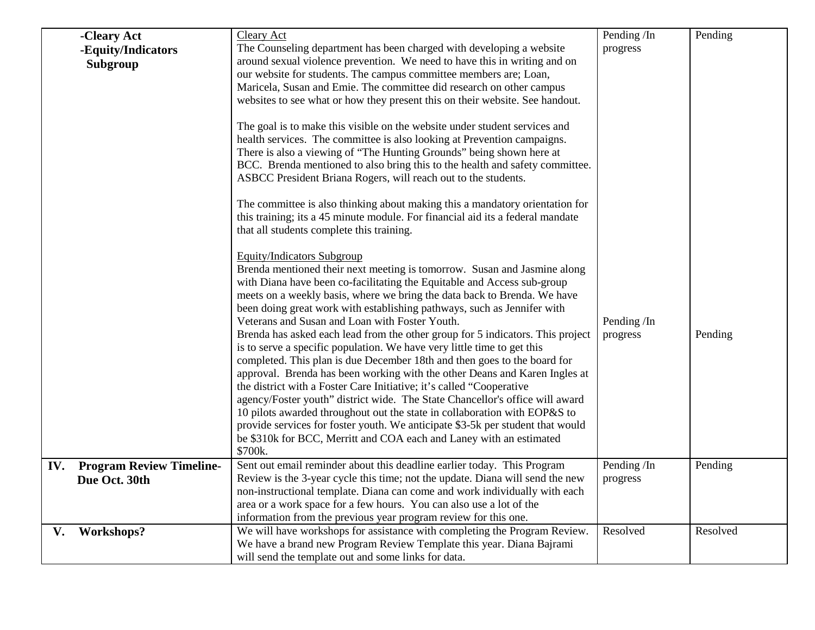|     | -Cleary Act<br>-Equity/Indicators<br>Subgroup    | <b>Cleary Act</b><br>The Counseling department has been charged with developing a website<br>around sexual violence prevention. We need to have this in writing and on<br>our website for students. The campus committee members are; Loan,<br>Maricela, Susan and Emie. The committee did research on other campus<br>websites to see what or how they present this on their website. See handout.<br>The goal is to make this visible on the website under student services and<br>health services. The committee is also looking at Prevention campaigns.<br>There is also a viewing of "The Hunting Grounds" being shown here at<br>BCC. Brenda mentioned to also bring this to the health and safety committee.<br>ASBCC President Briana Rogers, will reach out to the students.<br>The committee is also thinking about making this a mandatory orientation for<br>this training; its a 45 minute module. For financial aid its a federal mandate<br>that all students complete this training.<br><b>Equity/Indicators Subgroup</b><br>Brenda mentioned their next meeting is tomorrow. Susan and Jasmine along<br>with Diana have been co-facilitating the Equitable and Access sub-group<br>meets on a weekly basis, where we bring the data back to Brenda. We have<br>been doing great work with establishing pathways, such as Jennifer with<br>Veterans and Susan and Loan with Foster Youth.<br>Brenda has asked each lead from the other group for 5 indicators. This project<br>is to serve a specific population. We have very little time to get this<br>completed. This plan is due December 18th and then goes to the board for<br>approval. Brenda has been working with the other Deans and Karen Ingles at<br>the district with a Foster Care Initiative; it's called "Cooperative<br>agency/Foster youth" district wide. The State Chancellor's office will award | Pending /In<br>progress<br>Pending /In<br>progress | Pending<br>Pending |
|-----|--------------------------------------------------|-------------------------------------------------------------------------------------------------------------------------------------------------------------------------------------------------------------------------------------------------------------------------------------------------------------------------------------------------------------------------------------------------------------------------------------------------------------------------------------------------------------------------------------------------------------------------------------------------------------------------------------------------------------------------------------------------------------------------------------------------------------------------------------------------------------------------------------------------------------------------------------------------------------------------------------------------------------------------------------------------------------------------------------------------------------------------------------------------------------------------------------------------------------------------------------------------------------------------------------------------------------------------------------------------------------------------------------------------------------------------------------------------------------------------------------------------------------------------------------------------------------------------------------------------------------------------------------------------------------------------------------------------------------------------------------------------------------------------------------------------------------------------------------------------------------------------------------------------------------------------------------------|----------------------------------------------------|--------------------|
|     |                                                  | 10 pilots awarded throughout out the state in collaboration with EOP&S to<br>provide services for foster youth. We anticipate \$3-5k per student that would<br>be \$310k for BCC, Merritt and COA each and Laney with an estimated<br>\$700k.                                                                                                                                                                                                                                                                                                                                                                                                                                                                                                                                                                                                                                                                                                                                                                                                                                                                                                                                                                                                                                                                                                                                                                                                                                                                                                                                                                                                                                                                                                                                                                                                                                             |                                                    |                    |
| IV. | <b>Program Review Timeline-</b><br>Due Oct. 30th | Sent out email reminder about this deadline earlier today. This Program<br>Review is the 3-year cycle this time; not the update. Diana will send the new<br>non-instructional template. Diana can come and work individually with each<br>area or a work space for a few hours. You can also use a lot of the<br>information from the previous year program review for this one.                                                                                                                                                                                                                                                                                                                                                                                                                                                                                                                                                                                                                                                                                                                                                                                                                                                                                                                                                                                                                                                                                                                                                                                                                                                                                                                                                                                                                                                                                                          | Pending /In<br>progress                            | Pending            |
| V.  | Workshops?                                       | We will have workshops for assistance with completing the Program Review.<br>We have a brand new Program Review Template this year. Diana Bajrami<br>will send the template out and some links for data.                                                                                                                                                                                                                                                                                                                                                                                                                                                                                                                                                                                                                                                                                                                                                                                                                                                                                                                                                                                                                                                                                                                                                                                                                                                                                                                                                                                                                                                                                                                                                                                                                                                                                  | Resolved                                           | Resolved           |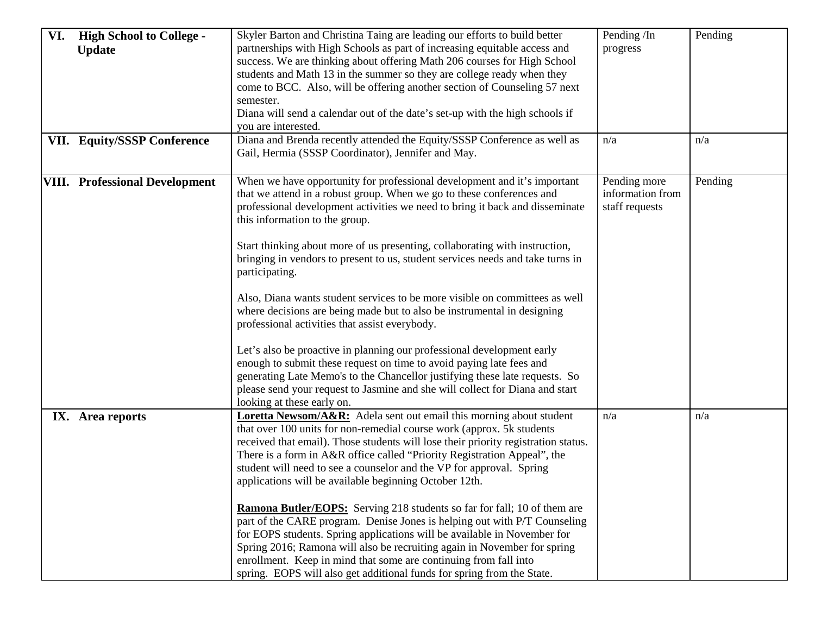| VI. | <b>High School to College -</b><br><b>Update</b><br><b>VII. Equity/SSSP Conference</b> | Skyler Barton and Christina Taing are leading our efforts to build better<br>partnerships with High Schools as part of increasing equitable access and<br>success. We are thinking about offering Math 206 courses for High School<br>students and Math 13 in the summer so they are college ready when they<br>come to BCC. Also, will be offering another section of Counseling 57 next<br>semester.<br>Diana will send a calendar out of the date's set-up with the high schools if<br>you are interested.<br>Diana and Brenda recently attended the Equity/SSSP Conference as well as                                                                                                                                                                                                                                                                                                                                                                                                                         | Pending/In<br>progress<br>n/a                      | Pending<br>n/a |
|-----|----------------------------------------------------------------------------------------|-------------------------------------------------------------------------------------------------------------------------------------------------------------------------------------------------------------------------------------------------------------------------------------------------------------------------------------------------------------------------------------------------------------------------------------------------------------------------------------------------------------------------------------------------------------------------------------------------------------------------------------------------------------------------------------------------------------------------------------------------------------------------------------------------------------------------------------------------------------------------------------------------------------------------------------------------------------------------------------------------------------------|----------------------------------------------------|----------------|
|     |                                                                                        | Gail, Hermia (SSSP Coordinator), Jennifer and May.                                                                                                                                                                                                                                                                                                                                                                                                                                                                                                                                                                                                                                                                                                                                                                                                                                                                                                                                                                |                                                    |                |
|     | <b>VIII.</b> Professional Development                                                  | When we have opportunity for professional development and it's important<br>that we attend in a robust group. When we go to these conferences and<br>professional development activities we need to bring it back and disseminate<br>this information to the group.<br>Start thinking about more of us presenting, collaborating with instruction,<br>bringing in vendors to present to us, student services needs and take turns in<br>participating.<br>Also, Diana wants student services to be more visible on committees as well<br>where decisions are being made but to also be instrumental in designing<br>professional activities that assist everybody.<br>Let's also be proactive in planning our professional development early<br>enough to submit these request on time to avoid paying late fees and<br>generating Late Memo's to the Chancellor justifying these late requests. So<br>please send your request to Jasmine and she will collect for Diana and start<br>looking at these early on. | Pending more<br>information from<br>staff requests | Pending        |
|     | IX. Area reports                                                                       | Loretta Newsom/A&R: Adela sent out email this morning about student<br>that over 100 units for non-remedial course work (approx. 5k students<br>received that email). Those students will lose their priority registration status.<br>There is a form in A&R office called "Priority Registration Appeal", the<br>student will need to see a counselor and the VP for approval. Spring<br>applications will be available beginning October 12th.<br><b>Ramona Butler/EOPS:</b> Serving 218 students so far for fall; 10 of them are<br>part of the CARE program. Denise Jones is helping out with P/T Counseling<br>for EOPS students. Spring applications will be available in November for<br>Spring 2016; Ramona will also be recruiting again in November for spring<br>enrollment. Keep in mind that some are continuing from fall into<br>spring. EOPS will also get additional funds for spring from the State.                                                                                            | n/a                                                | n/a            |